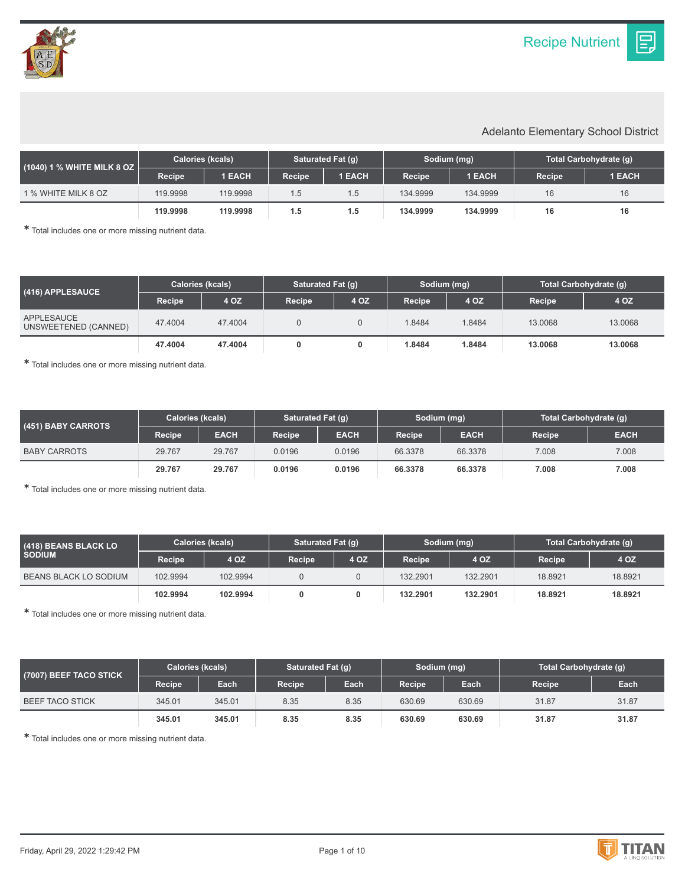Ε.

## Adelanto Elementary School District

| (1040) 1 % WHITE MILK 8 OZ | <b>Calories (kcals)</b> |          | <b>Saturated Fat (g)</b> |               | Sodium (mg)         |          | Total Carbohydrate (g) |        |
|----------------------------|-------------------------|----------|--------------------------|---------------|---------------------|----------|------------------------|--------|
|                            | Recipe                  | 1 EACH   | <b>Recipe</b>            | <b>1 EACH</b> | Recipe <sup>1</sup> | 1 EACH   | Recipe                 | 1 EACH |
| 1 % WHITE MILK 8 OZ        | 119.9998                | 119.9998 | 1.5                      | 1.5           | 134.9999            | 134.9999 | 16                     | 16     |
|                            | 119.9998                | 119,9998 | 1.5                      | 1.5           | 134.9999            | 134.9999 | 16                     | 16     |

✱ Total includes one or more missing nutrient data.

| $(416)$ APPLESAUCE $^{\dagger}$    | <b>Calories (kcals)</b> |         | Saturated Fat (q) |      | Sodium (mg)   |        | Total Carbohydrate (q) |         |
|------------------------------------|-------------------------|---------|-------------------|------|---------------|--------|------------------------|---------|
|                                    | <b>Recipe</b>           | 4 OZ    | <b>Recipe</b>     | 4 OZ | <b>Recipe</b> | 4 OZ   | <b>Recipe</b>          | 4 OZ    |
| APPLESAUCE<br>UNSWEETENED (CANNED) | 47.4004                 | 47.4004 |                   |      | 1.8484        | 1.8484 | 13.0068                | 13,0068 |
|                                    | 47.4004                 | 47.4004 |                   |      | 1.8484        | 1.8484 | 13,0068                | 13,0068 |

✱ Total includes one or more missing nutrient data.

| (451) BABY CARROTS  | <b>Calories (kcals)</b> |             | Saturated Fat (g)   |             | Sodium (mg) |             | Total Carbohydrate (g) |             |
|---------------------|-------------------------|-------------|---------------------|-------------|-------------|-------------|------------------------|-------------|
|                     | <b>Recipe</b>           | <b>EACH</b> | Recipe <sup>1</sup> | <b>EACH</b> | Recipe      | <b>EACH</b> | Recipe                 | <b>EACH</b> |
| <b>BABY CARROTS</b> | 29.767                  | 29.767      | 0.0196              | 0.0196      | 66.3378     | 66.3378     | 7.008                  | 7.008       |
|                     | 29.767                  | 29.767      | 0.0196              | 0.0196      | 66.3378     | 66.3378     | 7.008                  | 7.008       |

✱ Total includes one or more missing nutrient data.

| (418) BEANS BLACK LO<br><b>SODIUM</b> | <b>Calories (kcals)</b> |          | Saturated Fat (q) |      | Sodium (mg)   |          | Total Carbohydrate (g) |         |
|---------------------------------------|-------------------------|----------|-------------------|------|---------------|----------|------------------------|---------|
|                                       | Recipe                  | 4 OZ     | <b>Recipe</b>     | 4 OZ | <b>Recipe</b> | 4 OZ     | Recipe                 | 4 OZ    |
| <b>BEANS BLACK LO SODIUM</b>          | 102.9994                | 102.9994 |                   |      | 132.2901      | 132.2901 | 18.8921                | 18.8921 |
|                                       | 102.9994                | 102.9994 |                   |      | 132.2901      | 132.2901 | 18.8921                | 18.8921 |

✱ Total includes one or more missing nutrient data.

| (7007) BEEF TACO STICK | <b>Calories (kcals)</b> |        | Saturated Fat (g) |      | Sodium (mg) |        | Total Carbohydrate (q) |       |
|------------------------|-------------------------|--------|-------------------|------|-------------|--------|------------------------|-------|
|                        | Recipe                  | Each   | <b>Recipe</b>     | Each | Recipe      | Each   | <b>Recipe</b>          | Each  |
| <b>BEEF TACO STICK</b> | 345.01                  | 345.01 | 8.35              | 8.35 | 630.69      | 630.69 | 31.87                  | 31.87 |
|                        | 345.01                  | 345.01 | 8.35              | 8.35 | 630.69      | 630.69 | 31.87                  | 31.87 |

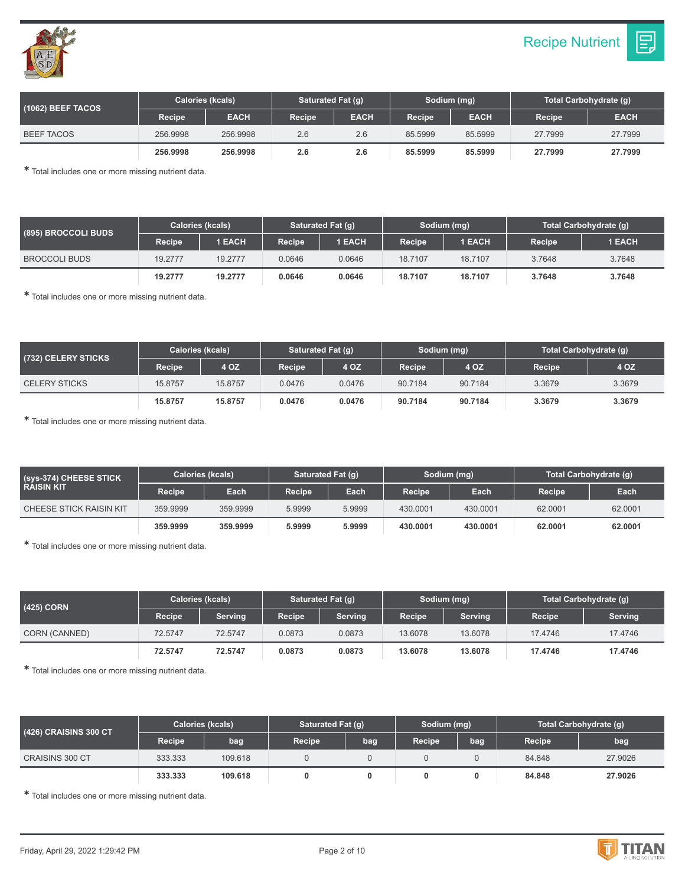



| (1062) BEEF TACOS | Calories (kcals) |             | Saturated Fat (q)   |             | Sodium (mg)   |             | Total Carbohydrate (g) |             |
|-------------------|------------------|-------------|---------------------|-------------|---------------|-------------|------------------------|-------------|
|                   | Recipe           | <b>EACH</b> | Recipe <sup>1</sup> | <b>EACH</b> | <b>Recipe</b> | <b>EACH</b> | Recipe                 | <b>EACH</b> |
| <b>BEEF TACOS</b> | 256.9998         | 256,9998    | 2.6                 | 2.6         | 85.5999       | 85.5999     | 27.7999                | 27.7999     |
|                   | 256.9998         | 256,9998    | 2.6                 | 2.6         | 85.5999       | 85,5999     | 27.7999                | 27.7999     |

| (895) BROCCOLI BUDS  | <b>Calories (kcals)</b> |               | <b>Saturated Fat (g)</b> |        | Sodium (mg)   |         | Total Carbohydrate (q) |        |
|----------------------|-------------------------|---------------|--------------------------|--------|---------------|---------|------------------------|--------|
|                      | Recipe                  | <b>1 EACH</b> | Recipe                   | 1 EACH | <b>Recipe</b> | 1 EACH  | Recipe                 | 1 EACH |
| <b>BROCCOLI BUDS</b> | 19.2777                 | 19.2777       | 0.0646                   | 0.0646 | 18.7107       | 18.7107 | 3.7648                 | 3.7648 |
|                      | 19.2777                 | 19.2777       | 0.0646                   | 0.0646 | 18.7107       | 18.7107 | 3.7648                 | 3.7648 |

✱ Total includes one or more missing nutrient data.

| (732) CELERY STICKS <b>\</b> | <b>Calories (kcals)</b> |         | Saturated Fat (g) |        | Sodium (mg) |         | Total Carbohydrate (g) |        |
|------------------------------|-------------------------|---------|-------------------|--------|-------------|---------|------------------------|--------|
|                              | Recipe                  | 4 OZ    | Recipe            | 4 OZ   | Recipe      | 4 OZ    | Recipe                 | 4 OZ   |
| <b>CELERY STICKS</b>         | 15.8757                 | 15.8757 | 0.0476            | 0.0476 | 90.7184     | 90.7184 | 3.3679                 | 3.3679 |
|                              | 15.8757                 | 15,8757 | 0.0476            | 0.0476 | 90.7184     | 90.7184 | 3.3679                 | 3.3679 |

✱ Total includes one or more missing nutrient data.

| (sys-374) CHEESE STICK<br><b>RAISIN KIT</b> | <b>Calories (kcals)</b> |          | Saturated Fat (q) |        | Sodium (mg)   |          | Total Carbohydrate (g) |         |
|---------------------------------------------|-------------------------|----------|-------------------|--------|---------------|----------|------------------------|---------|
|                                             | <b>Recipe</b>           | Each     | Recipe            | Each   | <b>Recipe</b> | Each     | Recipe                 | Each    |
| <b>CHEESE STICK RAISIN KIT</b>              | 359,9999                | 359.9999 | 5.9999            | 5.9999 | 430,0001      | 430,0001 | 62.0001                | 62.0001 |
|                                             | 359.9999                | 359,9999 | 5.9999            | 5.9999 | 430,0001      | 430,0001 | 62.0001                | 62.0001 |

✱ Total includes one or more missing nutrient data.

| (425) CORN    | <b>Calories (kcals)</b> |         | Saturated Fat (q) |                | Sodium (mg)   |                | Total Carbohydrate (q) |                |
|---------------|-------------------------|---------|-------------------|----------------|---------------|----------------|------------------------|----------------|
|               | Recipe                  | Serving | Recipe            | <b>Serving</b> | <b>Recipe</b> | <b>Serving</b> | Recipe                 | <b>Serving</b> |
| CORN (CANNED) | 72.5747                 | 72.5747 | 0.0873            | 0.0873         | 13.6078       | 13.6078        | 17.4746                | 17.4746        |
|               | 72.5747                 | 72.5747 | 0.0873            | 0.0873         | 13.6078       | 13.6078        | 17.4746                | 17.4746        |

✱ Total includes one or more missing nutrient data.

| (426) CRAISINS 300 CT  | <b>Calories (kcals)</b> |         | Saturated Fat (q) |     | Sodium (mg)   |     | Total Carbohydrate (g) |         |
|------------------------|-------------------------|---------|-------------------|-----|---------------|-----|------------------------|---------|
|                        | <b>Recipe</b>           | bag     | Recipe            | bag | <b>Recipe</b> | bag | <b>Recipe</b>          | bag     |
| <b>CRAISINS 300 CT</b> | 333.333                 | 109.618 |                   |     |               |     | 84.848                 | 27,9026 |
|                        | 333.333                 | 109.618 |                   |     |               |     | 84.848                 | 27.9026 |

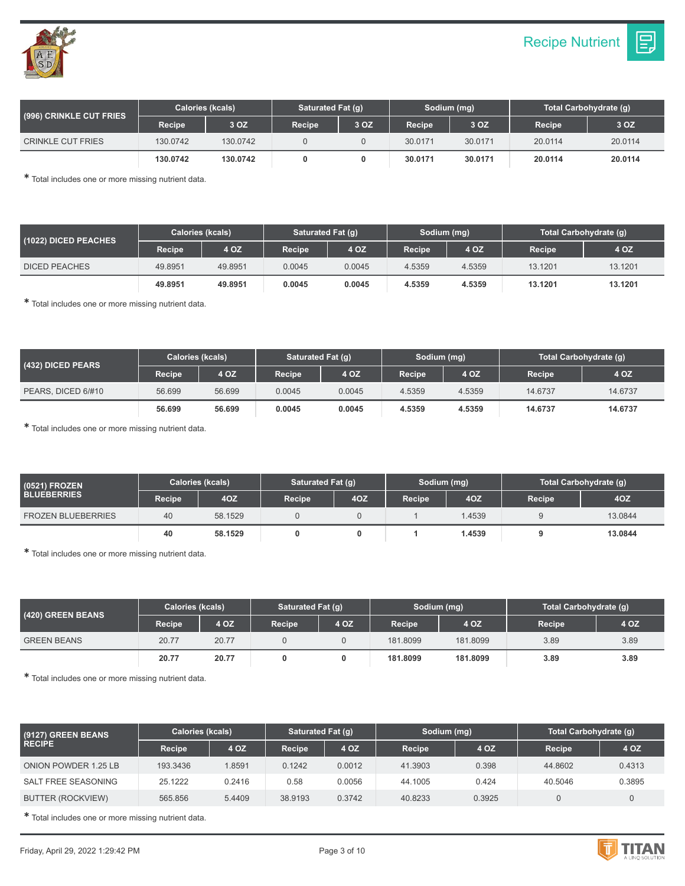

| (1022) DICED PEACHES | <b>Calories (kcals)</b> |         | Saturated Fat (q) |        | Sodium (mg)   |        | Total Carbohydrate (q) |         |
|----------------------|-------------------------|---------|-------------------|--------|---------------|--------|------------------------|---------|
|                      | Recipe                  | 4 OZ    | Recipe            | 4 OZ   | <b>Recipe</b> | 4 OZ   | Recipe                 | 4 OZ    |
| <b>DICED PEACHES</b> | 49.8951                 | 49.8951 | 0.0045            | 0.0045 | 4.5359        | 4.5359 | 13.1201                | 13.1201 |
|                      | 49.8951                 | 49.8951 | 0.0045            | 0.0045 | 4.5359        | 4.5359 | 13.1201                | 13.1201 |

✱ Total includes one or more missing nutrient data.

| (432) DICED PEARS  | <b>Calories (kcals)</b> | Saturated Fat (g) |        | Sodium (mg) |               | Total Carbohydrate (g) |         |         |
|--------------------|-------------------------|-------------------|--------|-------------|---------------|------------------------|---------|---------|
|                    | Recipe                  | 4 OZ              | Recipe | 4 OZ        | <b>Recipe</b> | 4 OZ                   | Recipe  | 4 OZ    |
| PEARS, DICED 6/#10 | 56.699                  | 56.699            | 0.0045 | 0.0045      | 4.5359        | 4.5359                 | 14.6737 | 14.6737 |
|                    | 56.699                  | 56.699            | 0.0045 | 0.0045      | 4.5359        | 4.5359                 | 14.6737 | 14.6737 |

✱ Total includes one or more missing nutrient data.

| (0521) FROZEN             | Calories (kcals) |         | Saturated Fat (g) |     | Sodium (mg)   |        | Total Carbohydrate (g) |         |  |
|---------------------------|------------------|---------|-------------------|-----|---------------|--------|------------------------|---------|--|
| <b>BLUEBERRIES</b>        | Recipe           | 4OZ     | <b>Recipe</b>     | 4OZ | <b>Recipe</b> | 4OZ    | <b>Recipe</b>          | 40Z     |  |
| <b>FROZEN BLUEBERRIES</b> | 40               | 58.1529 |                   |     |               | 1.4539 |                        | 13.0844 |  |
|                           | 40               | 58.1529 |                   |     |               | 1.4539 |                        | 13.0844 |  |

✱ Total includes one or more missing nutrient data.

| (420) GREEN BEANS  | Calories (kcals) |       |               | Saturated Fat (q) |               | Sodium (mg) | Total Carbohydrate (g) |      |  |
|--------------------|------------------|-------|---------------|-------------------|---------------|-------------|------------------------|------|--|
|                    | <b>Recipe</b>    | 4 OZ  | <b>Recipe</b> | 4 OZ              | <b>Recipe</b> | 4 OZ        | <b>Recipe</b>          | 4 OZ |  |
| <b>GREEN BEANS</b> | 20.77            | 20.77 |               |                   | 181.8099      | 181.8099    | 3.89                   | 3.89 |  |
|                    | 20.77            | 20.77 |               |                   | 181.8099      | 181.8099    | 3.89                   | 3.89 |  |

✱ Total includes one or more missing nutrient data.

| (9127) GREEN BEANS   | <b>Calories (kcals)</b> |        | Saturated Fat (q) |        | Sodium (mg) |        | Total Carbohydrate (g) |        |  |
|----------------------|-------------------------|--------|-------------------|--------|-------------|--------|------------------------|--------|--|
| <b>RECIPE</b>        | Recipe                  | 4 OZ   | Recipe            | 4 OZ   | Recipe      | 4 OZ   | Recipe                 | 4 OZ   |  |
| ONION POWDER 1.25 LB | 193.3436                | 1.8591 | 0.1242            | 0.0012 | 41.3903     | 0.398  | 44.8602                | 0.4313 |  |
| SALT FREE SEASONING  | 25.1222                 | 0.2416 | 0.58              | 0.0056 | 44.1005     | 0.424  | 40.5046                | 0.3895 |  |
| BUTTER (ROCKVIEW)    | 565.856                 | 5.4409 | 38.9193           | 0.3742 | 40.8233     | 0.3925 |                        |        |  |

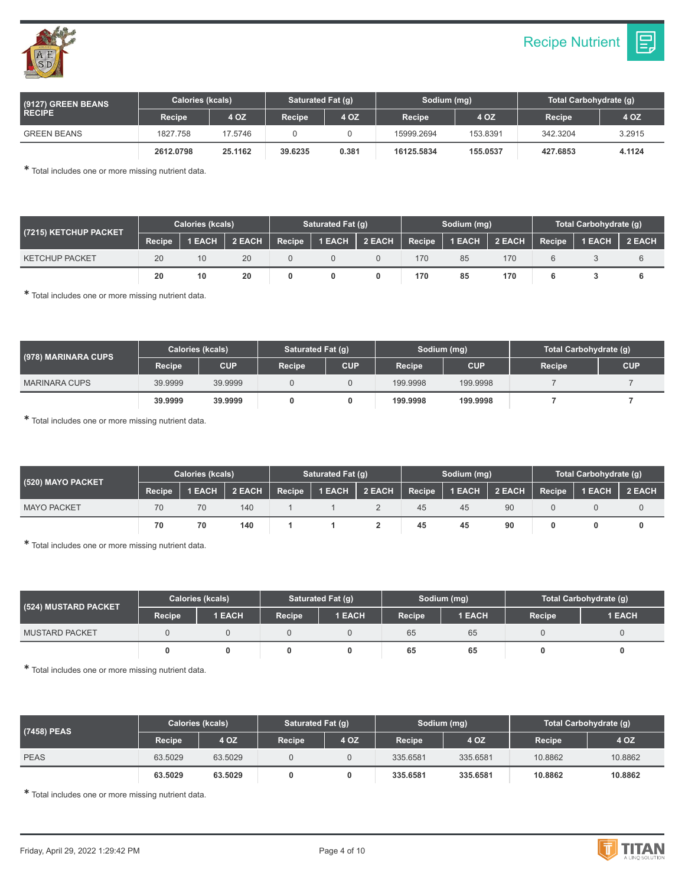

| (9127) GREEN BEANS | <b>Calories (kcals)</b> |         |                                                          | Saturated Fat (q) |            | Sodium (mg) | Total Carbohydrate (q) |        |  |
|--------------------|-------------------------|---------|----------------------------------------------------------|-------------------|------------|-------------|------------------------|--------|--|
| <b>RECIPE</b>      | Recipe                  | 4 OZ    | 4 OZ<br>4 OZ<br>Recipe<br><b>Recipe</b><br><b>Recipe</b> |                   | 4 OZ       |             |                        |        |  |
| <b>GREEN BEANS</b> | 1827.758                | 17.5746 |                                                          |                   | 15999.2694 | 153.8391    | 342.3204               | 3.2915 |  |
|                    | 2612.0798               | 25.1162 | 39.6235                                                  | 0.381             | 16125.5834 | 155.0537    | 427.6853               | 4.1124 |  |

| (7215) KETCHUP PACKET | <b>Calories (kcals)</b> |        |               | Saturated Fat (q)      |        |        | Sodium (mg) |        | Total Carbohydrate (q) |               |        |
|-----------------------|-------------------------|--------|---------------|------------------------|--------|--------|-------------|--------|------------------------|---------------|--------|
|                       | Recipe                  | 1 EACH | 2 EACH Recipe | $\vert$ 1 EACH $\vert$ | 2 EACH | Recipe | 1 EACH      | 2 EACH | Recipe                 | <b>1 EACH</b> | 2 EACH |
| <b>KETCHUP PACKET</b> | 20                      | 10     | 20            |                        |        | 170    | 85          | 170    |                        |               |        |
|                       | 20                      | 10     | 20            |                        |        | 170    | 85          | 170    |                        |               |        |

✱ Total includes one or more missing nutrient data.

| (978) MARINARA CUPS  | <b>Calories (kcals)</b> |            | Saturated Fat (q) |            | Sodium (mg)   |            | Total Carbohydrate (g) |            |  |
|----------------------|-------------------------|------------|-------------------|------------|---------------|------------|------------------------|------------|--|
|                      | <b>Recipe</b>           | <b>CUP</b> | <b>Recipe</b>     | <b>CUP</b> | <b>Recipe</b> | <b>CUP</b> | Recipe                 | <b>CUP</b> |  |
| <b>MARINARA CUPS</b> | 39.9999                 | 39.9999    |                   |            | 199.9998      | 199.9998   |                        |            |  |
|                      | 39,9999                 | 39.9999    |                   |            | 199.9998      | 199.9998   |                        |            |  |

✱ Total includes one or more missing nutrient data.

| (520) MAYO PACKET <sup>1</sup> | <b>Calories (kcals)</b> |        |        |        | Saturated Fat (q) |                      |    | Sodium (mg)   |    | Total Carbohydrate (q) |               |        |
|--------------------------------|-------------------------|--------|--------|--------|-------------------|----------------------|----|---------------|----|------------------------|---------------|--------|
|                                | Recipe                  | 1 EACH | 2 EACH | Recipe |                   | 1 EACH 2 EACH Recipe |    | 1 EACH 2 EACH |    | Recipe                 | <b>1 EACH</b> | 2 EACH |
| <b>MAYO PACKET</b>             | 70                      |        | 140    |        |                   |                      | 45 | 45            | 90 |                        |               |        |
|                                | 70                      | 70     | 140    |        |                   |                      | 45 | 45            | 90 |                        |               |        |

✱ Total includes one or more missing nutrient data.

| (524) MUSTARD PACKET  | <b>Calories (kcals)</b> |        | Saturated Fat (q) |               |                     | Sodium (mg) | Total Carbohydrate (g) |               |
|-----------------------|-------------------------|--------|-------------------|---------------|---------------------|-------------|------------------------|---------------|
|                       | Recipe                  | 1 EACH | Recipe            | <b>1 EACH</b> | Recipe <sup>1</sup> | 1 EACH      | Recipe                 | <b>1 EACH</b> |
| <b>MUSTARD PACKET</b> |                         |        |                   |               | 65                  | 65          |                        |               |
|                       |                         |        |                   |               | 65                  | 65          |                        | 0             |

✱ Total includes one or more missing nutrient data.

| (7458) PEAS | <b>Calories (kcals)</b> |         | Saturated Fat (g) |      | Sodium (mg) |          | Total Carbohydrate (g) |         |  |
|-------------|-------------------------|---------|-------------------|------|-------------|----------|------------------------|---------|--|
|             | Recipe                  | 4 OZ    | Recipe            | 4 OZ | Recipe      | 4 OZ     | Recipe                 | 4 OZ    |  |
| <b>PEAS</b> | 63.5029                 | 63.5029 |                   |      | 335.6581    | 335.6581 | 10.8862                | 10.8862 |  |
|             | 63.5029                 | 63.5029 |                   |      | 335,6581    | 335,6581 | 10.8862                | 10.8862 |  |

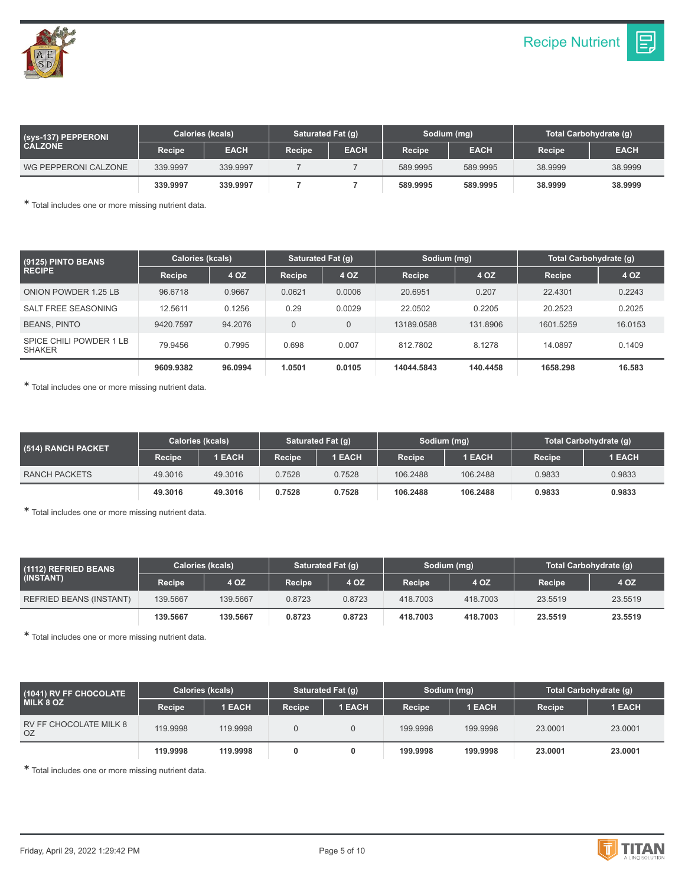| (sys-137) PEPPERONI  | <b>Calories (kcals)</b> |             | Saturated Fat (g)                                     |        |             | Sodium (mg) | Total Carbohydrate (g) |         |  |
|----------------------|-------------------------|-------------|-------------------------------------------------------|--------|-------------|-------------|------------------------|---------|--|
| <b>CALZONE</b>       | Recipe                  | <b>EACH</b> | <b>EACH</b><br><b>EACH</b><br>Recipe<br><b>Recipe</b> | Recipe | <b>EACH</b> |             |                        |         |  |
| WG PEPPERONI CALZONE | 339.9997                | 339.9997    |                                                       |        | 589.9995    | 589.9995    | 38,9999                | 38.9999 |  |
|                      | 339.9997                | 339,9997    |                                                       |        | 589.9995    | 589.9995    | 38,9999                | 38,9999 |  |

| (9125) PINTO BEANS                       | <b>Calories (kcals)</b> |         | Saturated Fat (q) |        | Sodium (mg) |          | Total Carbohydrate (q) |         |  |
|------------------------------------------|-------------------------|---------|-------------------|--------|-------------|----------|------------------------|---------|--|
| <b>RECIPE</b>                            | Recipe                  | 4 OZ    | Recipe            | 4 OZ   | Recipe      | 4 OZ     | Recipe                 | 4 OZ    |  |
| <b>ONION POWDER 1.25 LB</b>              | 96.6718                 | 0.9667  | 0.0621            | 0.0006 | 20.6951     | 0.207    | 22.4301                | 0.2243  |  |
| SALT FREE SEASONING                      | 12.5611                 | 0.1256  | 0.29              | 0.0029 | 22.0502     | 0.2205   | 20.2523                | 0.2025  |  |
| <b>BEANS, PINTO</b>                      | 9420.7597               | 94.2076 | $\Omega$          | 0      | 13189.0588  | 131.8906 | 1601.5259              | 16.0153 |  |
| SPICE CHILI POWDER 1 LB<br><b>SHAKER</b> | 79.9456                 | 0.7995  | 0.698             | 0.007  | 812.7802    | 8.1278   | 14.0897                | 0.1409  |  |
|                                          | 9609.9382               | 96.0994 | 1.0501            | 0.0105 | 14044.5843  | 140.4458 | 1658.298               | 16.583  |  |

✱ Total includes one or more missing nutrient data.

| (514) RANCH PACKET! | <b>Calories (kcals)</b> |               | Saturated Fat (g)   |               | Sodium (mg) |          | Total Carbohydrate (q) |        |
|---------------------|-------------------------|---------------|---------------------|---------------|-------------|----------|------------------------|--------|
|                     | Recipe                  | <b>1 EACH</b> | Recipe <sup>1</sup> | <b>1 EACH</b> | Recipe      | 1 EACH   | Recipe                 | 1 EACH |
| RANCH PACKETS       | 49.3016                 | 49.3016       | 0.7528              | 0.7528        | 106,2488    | 106.2488 | 0.9833                 | 0.9833 |
|                     | 49.3016                 | 49.3016       | 0.7528              | 0.7528        | 106.2488    | 106.2488 | 0.9833                 | 0.9833 |

✱ Total includes one or more missing nutrient data.

| (1112) REFRIED BEANS<br>(INSTANT) | <b>Calories (kcals)</b> |          | Saturated Fat (q) |        | Sodium (mg) |          | Total Carbohydrate (q) |         |
|-----------------------------------|-------------------------|----------|-------------------|--------|-------------|----------|------------------------|---------|
|                                   | Recipe                  | 4 OZ     | Recipe            | 4 OZ   | Recipe      | 4 OZ     | Recipe                 | 4 OZ    |
| <b>REFRIED BEANS (INSTANT)</b>    | 139.5667                | 139.5667 | 0.8723            | 0.8723 | 418,7003    | 418,7003 | 23.5519                | 23.5519 |
|                                   | 139.5667                | 139.5667 | 0.8723            | 0.8723 | 418.7003    | 418,7003 | 23.5519                | 23.5519 |

✱ Total includes one or more missing nutrient data.

| (1041) RV FF CHOCOLATE<br><b>MILK 8 OZ</b> | Calories (kcals) |               | Saturated Fat (q) |               | Sodium (mg) |          | Total Carbohydrate (g) |               |
|--------------------------------------------|------------------|---------------|-------------------|---------------|-------------|----------|------------------------|---------------|
|                                            | Recipe           | <b>1 EACH</b> | Recipe            | <b>1 EACH</b> | Recipe      | 1 EACH   | <b>Recipe</b>          | <b>1 EACH</b> |
| RV FF CHOCOLATE MILK 8<br>0Z               | 119.9998         | 119.9998      |                   |               | 199.9998    | 199.9998 | 23.0001                | 23.0001       |
|                                            | 119,9998         | 119,9998      |                   |               | 199.9998    | 199.9998 | 23,0001                | 23.0001       |

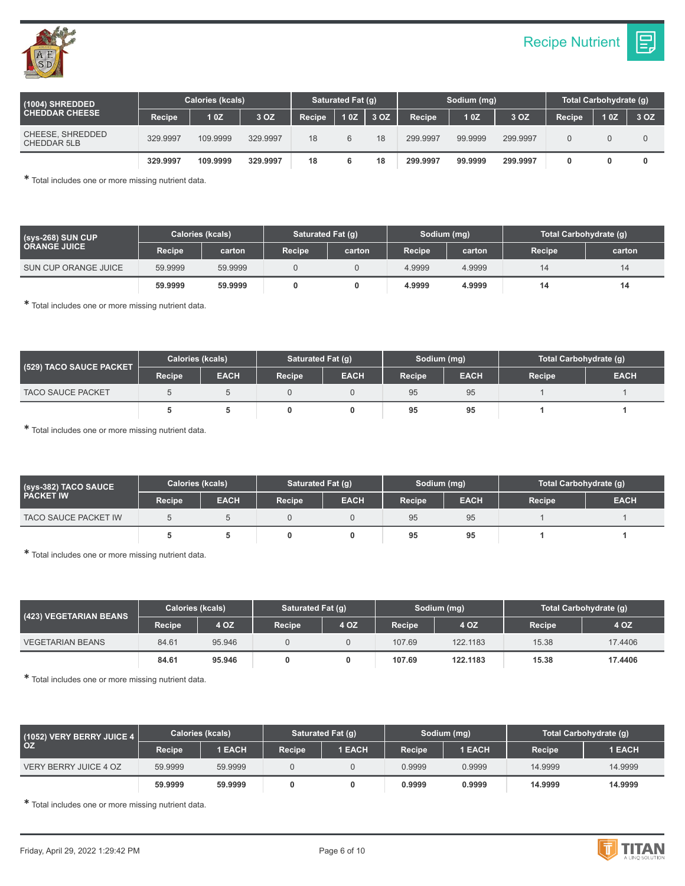

| (1004) SHREDDED<br><b>CHEDDAR CHEESE</b> | <b>Calories (kcals)</b> |          |          | Saturated Fat (q) |     | Sodium (mg) |               |         | Total Carbohydrate (g) |        |     |      |
|------------------------------------------|-------------------------|----------|----------|-------------------|-----|-------------|---------------|---------|------------------------|--------|-----|------|
|                                          | <b>Recipe</b>           | 10Z      | 3 OZ     | Recipe            | 10Z | 3 OZ        | <b>Recipe</b> | 10Z     | 3 OZ                   | Recipe | 10Z | 3 OZ |
| CHEESE, SHREDDED<br><b>CHEDDAR 5LB</b>   | 329.9997                | 109.9999 | 329.9997 | 18                | 6   | 18          | 299.9997      | 99.9999 | 299.9997               |        |     |      |
|                                          | 329.9997                | 109.9999 | 329.9997 | 18                |     | 18          | 299.9997      | 99.9999 | 299.9997               |        |     |      |

| $(sys-268)$ SUN CUP<br><b>ORANGE JUICE</b> | <b>Calories (kcals)</b> |         | Saturated Fat (q) |        | Sodium (mg)   |        | Total Carbohydrate (g) |        |
|--------------------------------------------|-------------------------|---------|-------------------|--------|---------------|--------|------------------------|--------|
|                                            | Recipe                  | carton  | Recipe            | carton | <b>Recipe</b> | carton | <b>Recipe</b>          | carton |
| SUN CUP ORANGE JUICE                       | 59.9999                 | 59.9999 |                   |        | 4.9999        | 4.9999 |                        | 14     |
|                                            | 59,9999                 | 59.9999 | 0                 |        | 4.9999        | 4.9999 | 14                     | 14     |

✱ Total includes one or more missing nutrient data.

| (529) TACO SAUCE PACKET  | <b>Calories (kcals)</b> |             | Saturated Fat (q) |             | Sodium (mg)   |             | Total Carbohydrate (q) |             |
|--------------------------|-------------------------|-------------|-------------------|-------------|---------------|-------------|------------------------|-------------|
|                          | Recipe                  | <b>EACH</b> | Recipe            | <b>EACH</b> | <b>Recipe</b> | <b>EACH</b> | Recipe                 | <b>EACH</b> |
| <b>TACO SAUCE PACKET</b> |                         |             |                   |             | 95            | 95          |                        |             |
|                          |                         |             |                   |             | 95            | 95          |                        |             |

✱ Total includes one or more missing nutrient data.

| (Sys-382) TACO SAUCE \<br><b>PACKET IW</b> | <b>Calories (kcals)</b> |             | Saturated Fat (g) |             | Sodium (mg)   |             | Total Carbohydrate (g) |             |
|--------------------------------------------|-------------------------|-------------|-------------------|-------------|---------------|-------------|------------------------|-------------|
|                                            | Recipe                  | <b>EACH</b> | Recipe            | <b>EACH</b> | <b>Recipe</b> | <b>EACH</b> | Recipe                 | <b>EACH</b> |
| <b>TACO SAUCE PACKET IW</b>                |                         |             |                   |             | 95            | 95          |                        |             |
|                                            |                         |             |                   |             | 95            | 95          |                        |             |

✱ Total includes one or more missing nutrient data.

| (423) VEGETARIAN BEANS  | <b>Calories (kcals)</b> |        | Saturated Fat (q) |      |               | Sodium (mg) | Total Carbohydrate (g) |         |
|-------------------------|-------------------------|--------|-------------------|------|---------------|-------------|------------------------|---------|
|                         | Recipe                  | 4 OZ   | <b>Recipe</b>     | 4 OZ | <b>Recipe</b> | 4 OZ        | Recipe                 | 4 OZ    |
| <b>VEGETARIAN BEANS</b> | 84.61                   | 95.946 |                   |      | 107.69        | 122.1183    | 15.38                  | 17.4406 |
|                         | 84.61                   | 95.946 |                   |      | 107.69        | 122.1183    | 15.38                  | 17.4406 |

✱ Total includes one or more missing nutrient data.

| (1052) VERY BERRY JUICE 4<br><b>OZ</b> | <b>Calories (kcals)</b> |               | Saturated Fat (g) |        | Sodium (mg)   |               | Total Carbohydrate (g) |               |
|----------------------------------------|-------------------------|---------------|-------------------|--------|---------------|---------------|------------------------|---------------|
|                                        | Recipe                  | <b>1 EACH</b> | <b>Recipe</b>     | 1 EACH | <b>Recipe</b> | <b>1 EACH</b> | Recipe                 | <b>1 EACH</b> |
| VERY BERRY JUICE 4 OZ                  | 59.9999                 | 59.9999       |                   |        | 0.9999        | 0.9999        | 14.9999                | 14.9999       |
|                                        | 59,9999                 | 59,9999       |                   |        | 0.9999        | 0.9999        | 14.9999                | 14.9999       |

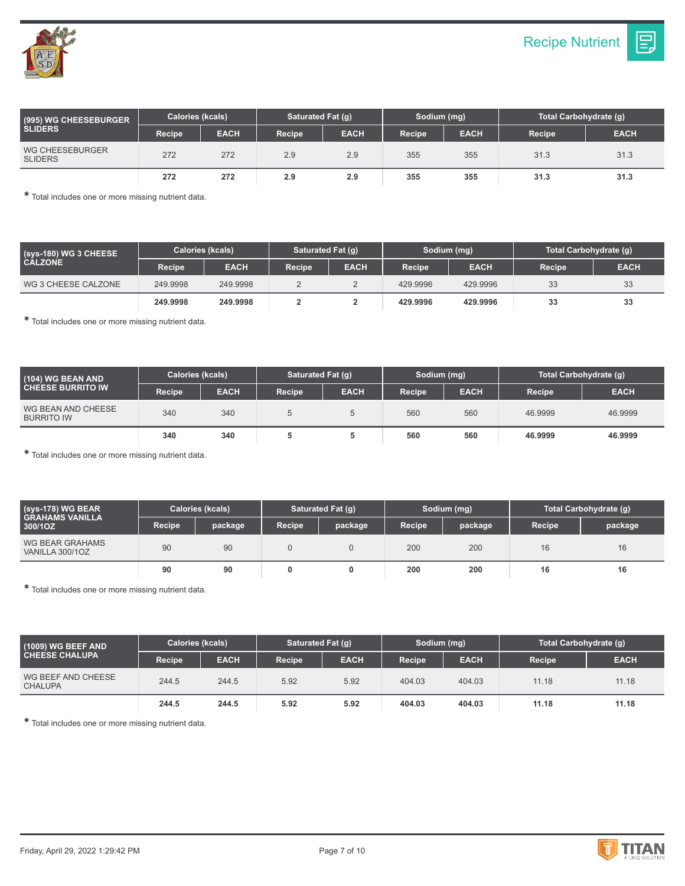

| (995) WG CHEESEBURGER<br><b>SLIDERS</b>  | Calories (kcals) |             |               | Saturated Fat (q) |               | Sodium (mg) | Total Carbohydrate (q) |             |
|------------------------------------------|------------------|-------------|---------------|-------------------|---------------|-------------|------------------------|-------------|
|                                          | Recipe           | <b>EACH</b> | <b>Recipe</b> | <b>EACH</b>       | <b>Recipe</b> | <b>EACH</b> | <b>Recipe</b>          | <b>EACH</b> |
| <b>WG CHEESEBURGER</b><br><b>SLIDERS</b> | 272              | 272         | 2.9           | 2.9               | 355           | 355         | 31.3                   | 31.3        |
|                                          | 272              | 272         | 2.9           | 2.9               | 355           | 355         | 31.3                   | 31.3        |

| (sys-180) WG 3 CHEESE<br><b>CALZONE</b> | <b>Calories (kcals)</b> |             | Saturated Fat (g) |             | Sodium (mg)   |             | Total Carbohydrate (g) |             |
|-----------------------------------------|-------------------------|-------------|-------------------|-------------|---------------|-------------|------------------------|-------------|
|                                         | <b>Recipe</b>           | <b>EACH</b> | <b>Recipe</b>     | <b>EACH</b> | <b>Recipe</b> | <b>EACH</b> | <b>Recipe</b>          | <b>EACH</b> |
| WG 3 CHEESE CALZONE                     | 249.9998                | 249.9998    |                   |             | 429,9996      | 429.9996    | 33                     | 33          |
|                                         | 249.9998                | 249.9998    |                   |             | 429.9996      | 429.9996    | 33                     | 33          |

✱ Total includes one or more missing nutrient data.

| (104) WG BEAN AND<br><b>CHEESE BURRITO IW</b> | <b>Calories (kcals)</b> |             | Saturated Fat (q) |             | Sodium (mg) |             | Total Carbohydrate (g) |             |
|-----------------------------------------------|-------------------------|-------------|-------------------|-------------|-------------|-------------|------------------------|-------------|
|                                               | Recipe                  | <b>EACH</b> | <b>Recipe</b>     | <b>EACH</b> | Recipe      | <b>EACH</b> | <b>Recipe</b>          | <b>EACH</b> |
| WG BEAN AND CHEESE<br><b>BURRITO IW</b>       | 340                     | 340         |                   |             | 560         | 560         | 46.9999                | 46.9999     |
|                                               | 340                     | 340         |                   |             | 560         | 560         | 46,9999                | 46.9999     |

✱ Total includes one or more missing nutrient data.

| $(sys-178)$ WG BEAR \<br>I GRAHAMS VANILLA '<br>300/1OZ | Calories (kcals) |         | Saturated Fat (g) |         | Sodium (mg) |         | Total Carbohydrate (g) |         |
|---------------------------------------------------------|------------------|---------|-------------------|---------|-------------|---------|------------------------|---------|
|                                                         | <b>Recipe</b>    | package | <b>Recipe</b>     | package | Recipe      | package | <b>Recipe</b>          | package |
| WG BEAR GRAHAMS<br>VANILLA 300/1OZ                      | 90               | 90      |                   |         | 200         | 200     | 16                     | 16      |
|                                                         | 90               | 90      |                   |         | 200         | 200     | 16                     | 16      |

✱ Total includes one or more missing nutrient data.

| $(1009)$ WG BEEF AND<br><b>CHEESE CHALUPA</b> | Calories (kcals) |             | Saturated Fat (g) |             | Sodium (mg)   |             | Total Carbohydrate (g) |             |
|-----------------------------------------------|------------------|-------------|-------------------|-------------|---------------|-------------|------------------------|-------------|
|                                               | Recipe           | <b>EACH</b> | <b>Recipe</b>     | <b>EACH</b> | <b>Recipe</b> | <b>EACH</b> | <b>Recipe</b>          | <b>EACH</b> |
| WG BEEF AND CHEESE<br><b>CHALUPA</b>          | 244.5            | 244.5       | 5.92              | 5.92        | 404.03        | 404.03      | 11.18                  | 11.18       |
|                                               | 244.5            | 244.5       | 5.92              | 5.92        | 404.03        | 404.03      | 11.18                  | 11.18       |

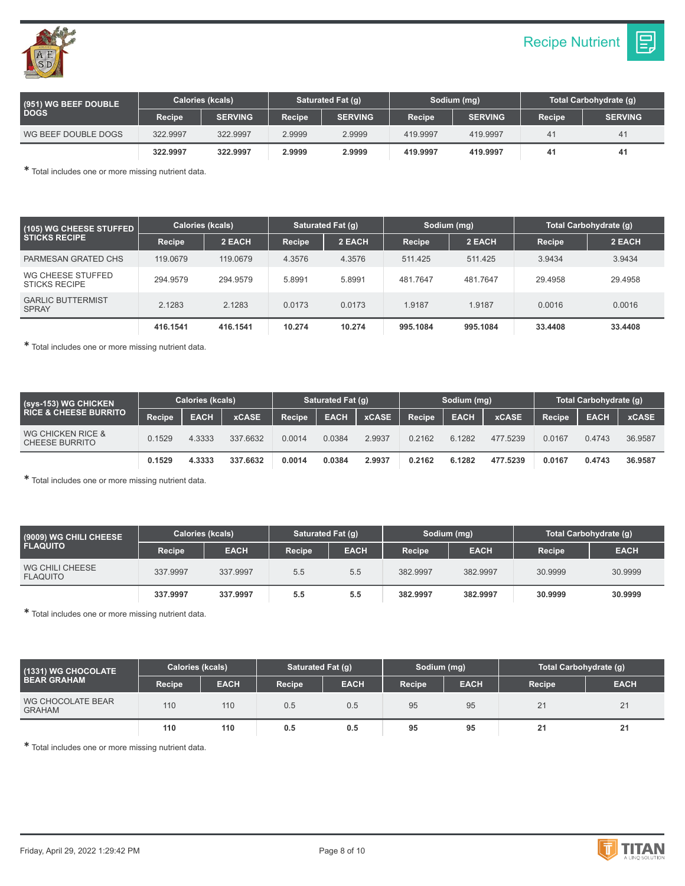



| (951) WG BEEF DOUBLE<br><b>DOGS</b> | Calories (kcals) |                | Saturated Fat (g) |                |               | Sodium (mg)    | Total Carbohydrate (q) |                |
|-------------------------------------|------------------|----------------|-------------------|----------------|---------------|----------------|------------------------|----------------|
|                                     | <b>Recipe</b>    | <b>SERVING</b> | Recipe            | <b>SERVING</b> | <b>Recipe</b> | <b>SERVING</b> | <b>Recipe</b>          | <b>SERVING</b> |
| WG BEEF DOUBLE DOGS                 | 322.9997         | 322.9997       | 2.9999            | 2.9999         | 419.9997      | 419.9997       | 4 <sup>1</sup>         | 41             |
|                                     | 322.9997         | 322.9997       | 2.9999            | 2.9999         | 419.9997      | 419.9997       | 41                     | 41             |

| (105) WG CHEESE STUFFED<br><b>STICKS RECIPE</b> | Calories (kcals) |          | Saturated Fat (q) |        | Sodium (mg) |          | Total Carbohydrate (g) |         |
|-------------------------------------------------|------------------|----------|-------------------|--------|-------------|----------|------------------------|---------|
|                                                 | Recipe           | 2 EACH   | Recipe            | 2 EACH | Recipe      | 2 EACH   | Recipe                 | 2 EACH  |
| PARMESAN GRATED CHS                             | 119,0679         | 119,0679 | 4.3576            | 4.3576 | 511.425     | 511.425  | 3.9434                 | 3.9434  |
| WG CHEESE STUFFED<br><b>STICKS RECIPE</b>       | 294.9579         | 294.9579 | 5.8991            | 5.8991 | 481.7647    | 481.7647 | 29.4958                | 29.4958 |
| <b>GARLIC BUTTERMIST</b><br><b>SPRAY</b>        | 2.1283           | 2.1283   | 0.0173            | 0.0173 | 1.9187      | 1.9187   | 0.0016                 | 0.0016  |
|                                                 | 416.1541         | 416.1541 | 10.274            | 10.274 | 995.1084    | 995.1084 | 33.4408                | 33.4408 |

✱ Total includes one or more missing nutrient data.

| (sys-153) WG CHICKEN \<br><b>RICE &amp; CHEESE BURRITO</b> | Calories (kcals)    |             |              | Saturated Fat (g) |             |              | Sodium (mg)   |             |              | Total Carbohydrate (q) |             |              |
|------------------------------------------------------------|---------------------|-------------|--------------|-------------------|-------------|--------------|---------------|-------------|--------------|------------------------|-------------|--------------|
|                                                            | Recipe <sup>1</sup> | <b>EACH</b> | <b>xCASE</b> | Recipe            | <b>EACH</b> | <b>xCASE</b> | <b>Recipe</b> | <b>EACH</b> | <b>xCASE</b> | <b>Recipe</b>          | <b>EACH</b> | <b>xCASE</b> |
| WG CHICKEN RICE &<br><b>CHEESE BURRITO</b>                 | 0.1529              | 4.3333      | 337.6632     | 0.0014            | 0.0384      | 2.9937       | 0.2162        | 6.1282      | 477.5239     | 0.0167                 | 0.4743      | 36.9587      |
|                                                            | 0.1529              | 4.3333      | 337.6632     | 0.0014            | 0.0384      | 2.9937       | 0.2162        | 6.1282      | 477.5239     | 0.0167                 | 0.4743      | 36.9587      |

✱ Total includes one or more missing nutrient data.

| (9009) WG CHILI CHEESE<br><b>FLAQUITO</b> | <b>Calories (kcals)</b> |             | Saturated Fat (q) |             | Sodium (mg)   |             | Total Carbohydrate (g) |             |
|-------------------------------------------|-------------------------|-------------|-------------------|-------------|---------------|-------------|------------------------|-------------|
|                                           | Recipe                  | <b>EACH</b> | <b>Recipe</b>     | <b>EACH</b> | <b>Recipe</b> | <b>EACH</b> | Recipe                 | <b>EACH</b> |
| WG CHILI CHEESE<br><b>FLAQUITO</b>        | 337.9997                | 337.9997    | 5.5               | 5.5         | 382.9997      | 382.9997    | 30.9999                | 30.9999     |
|                                           | 337.9997                | 337.9997    | 5.5               | 5.5         | 382.9997      | 382.9997    | 30,9999                | 30.9999     |

✱ Total includes one or more missing nutrient data.

| (1331) WG CHOCOLATE<br><b>BEAR GRAHAM</b> | Calories (kcals) |             | Saturated Fat (q) |             | Sodium (mg) |             | Total Carbohydrate (g) |             |
|-------------------------------------------|------------------|-------------|-------------------|-------------|-------------|-------------|------------------------|-------------|
|                                           | Recipe           | <b>EACH</b> | Recipe            | <b>EACH</b> | Recipe      | <b>EACH</b> | <b>Recipe</b>          | <b>EACH</b> |
| WG CHOCOLATE BEAR<br><b>GRAHAM</b>        | 110              | 110         | 0.5               | 0.5         | 95          | 95          | 21                     | 21          |
|                                           | 110              | 110         | 0.5               | 0.5         | 95          | 95          | 21                     | 21          |

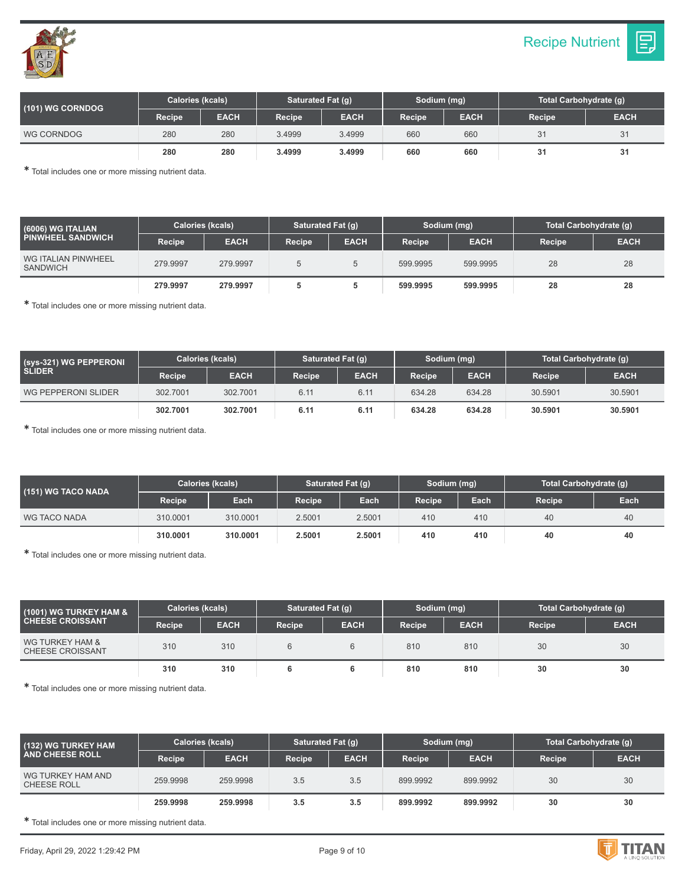



| (101) WG CORNDOG | Calories (kcals) |             | Saturated Fat (q) |             | Sodium (mg) |             | Total Carbohydrate (q) |             |
|------------------|------------------|-------------|-------------------|-------------|-------------|-------------|------------------------|-------------|
|                  | <b>Recipe</b>    | <b>EACH</b> | Recipe            | <b>EACH</b> | Recipe      | <b>EACH</b> | <b>Recipe</b>          | <b>EACH</b> |
| WG CORNDOG       | 280              | 280         | 3.4999            | 3.4999      | 660         | 660         | 31                     | 31          |
|                  | 280              | 280         | 3.4999            | 3.4999      | 660         | 660         | 31                     | 31          |

| (6006) WG ITALIAN<br><b>PINWHEEL SANDWICH</b> | <b>Calories (kcals)</b> |             | Saturated Fat (q) |             | Sodium (mg)   |             | Total Carbohydrate (g) |             |
|-----------------------------------------------|-------------------------|-------------|-------------------|-------------|---------------|-------------|------------------------|-------------|
|                                               | Recipe                  | <b>EACH</b> | <b>Recipe</b>     | <b>EACH</b> | <b>Recipe</b> | <b>EACH</b> | <b>Recipe</b>          | <b>EACH</b> |
| WG ITALIAN PINWHEEL<br><b>SANDWICH</b>        | 279.9997                | 279.9997    |                   |             | 599.9995      | 599.9995    | 28                     | 28          |
|                                               | 279.9997                | 279.9997    |                   |             | 599.9995      | 599.9995    | 28                     | 28          |

✱ Total includes one or more missing nutrient data.

| (sys-321) WG PEPPERONI<br><b>SLIDER</b> | <b>Calories (kcals)</b> |             | Saturated Fat (q) |             | Sodium (mg)   |             | Total Carbohydrate (q) |             |
|-----------------------------------------|-------------------------|-------------|-------------------|-------------|---------------|-------------|------------------------|-------------|
|                                         | <b>Recipe</b>           | <b>EACH</b> | Recipe            | <b>EACH</b> | <b>Recipe</b> | <b>EACH</b> | Recipe                 | <b>EACH</b> |
| WG PEPPERONI SLIDER                     | 302.7001                | 302.7001    | 6.11              | 6.11        | 634.28        | 634.28      | 30.5901                | 30.5901     |
|                                         | 302.7001                | 302.7001    | 6.11              | 6.11        | 634.28        | 634.28      | 30.5901                | 30.5901     |

✱ Total includes one or more missing nutrient data.

| (151) WG TACO NADA | <b>Calories (kcals)</b> |          | Saturated Fat (g) |        | Sodium (mg)   |      | Total Carbohydrate (g) |      |
|--------------------|-------------------------|----------|-------------------|--------|---------------|------|------------------------|------|
|                    | Recipe                  | Each     | Recipe            | Each   | <b>Recipe</b> | Each | Recipe                 | Each |
| WG TACO NADA       | 310.0001                | 310.0001 | 2.5001            | 2.5001 | 410           | 410  | 40                     | 40   |
|                    | 310,0001                | 310,0001 | 2.5001            | 2.5001 | 410           | 410  | 40                     | 40   |

✱ Total includes one or more missing nutrient data.

| (1001) WG TURKEY HAM &<br><b>CHEESE CROISSANT</b> | <b>Calories (kcals)</b> |             | Saturated Fat (q) |             | Sodium (mg)   |             | Total Carbohydrate (g) |             |
|---------------------------------------------------|-------------------------|-------------|-------------------|-------------|---------------|-------------|------------------------|-------------|
|                                                   | Recipe                  | <b>EACH</b> | <b>Recipe</b>     | <b>EACH</b> | <b>Recipe</b> | <b>EACH</b> | Recipe                 | <b>EACH</b> |
| WG TURKEY HAM &<br><b>CHEESE CROISSANT</b>        | 310                     | 310         |                   |             | 810           | 810         | 30                     | 30          |
|                                                   | 310                     | 310         |                   |             | 810           | 810         | 30                     | 30          |

✱ Total includes one or more missing nutrient data.

| (132) WG TURKEY HAM<br><b>AND CHEESE ROLL</b> | Calories (kcals) |             | Saturated Fat (q) |             | Sodium (mg)   |             | Total Carbohydrate (g) |             |
|-----------------------------------------------|------------------|-------------|-------------------|-------------|---------------|-------------|------------------------|-------------|
|                                               | Recipe           | <b>EACH</b> | <b>Recipe</b>     | <b>EACH</b> | <b>Recipe</b> | <b>EACH</b> | <b>Recipe</b>          | <b>EACH</b> |
| WG TURKEY HAM AND<br>CHEESE ROLL              | 259.9998         | 259.9998    | 3.5               | 3.5         | 899.9992      | 899.9992    | 30                     | 30          |
|                                               | 259.9998         | 259.9998    | 3.5               | 3.5         | 899.9992      | 899.9992    | 30                     | 30          |